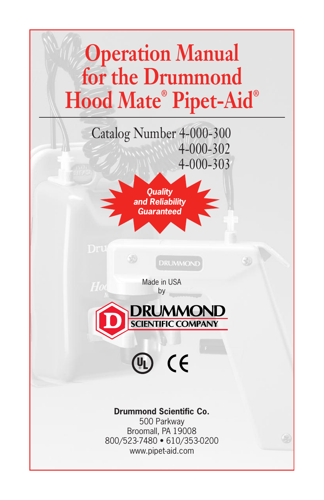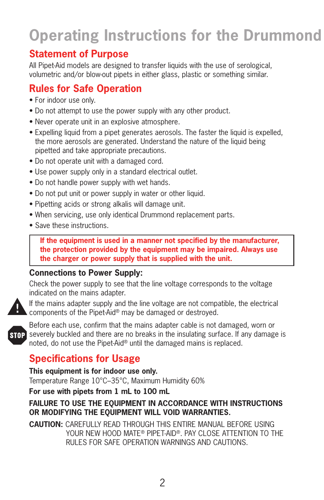# **Operating Instructions for the Drummond**

# **Statement of Purpose**

All Pipet-Aid models are designed to transfer liquids with the use of serological, volumetric and/or blow-out pipets in either glass, plastic or something similar.

# **Rules for Safe Operation**

- For indoor use only.
- Do not attempt to use the power supply with any other product.
- Never operate unit in an explosive atmosphere.
- Expelling liquid from a pipet generates aerosols. The faster the liquid is expelled, the more aerosols are generated. Understand the nature of the liquid being pipetted and take appropriate precautions.
- Do not operate unit with a damaged cord.
- Use power supply only in a standard electrical outlet.
- Do not handle power supply with wet hands.
- Do not put unit or power supply in water or other liquid.
- Pipetting acids or strong alkalis will damage unit.
- When servicing, use only identical Drummond replacement parts.
- Save these instructions.

 **If the equipment is used in a manner not specified by the manufacturer, the protection provided by the equipment may be impaired. Always use the charger or power supply that is supplied with the unit.**

#### **Connections to Power Supply:**

Check the power supply to see that the line voltage corresponds to the voltage indicated on the mains adapter.



If the mains adapter supply and the line voltage are not compatible, the electrical  $\blacktriangle$  components of the Pipet-Aid® may be damaged or destroyed.



Before each use, confirm that the mains adapter cable is not damaged, worn or severely buckled and there are no breaks in the insulating surface. If any damage is noted, do not use the Pipet-Aid® until the damaged mains is replaced.

# **Specifications for Usage**

**This equipment is for indoor use only.**

Temperature Range 10°C–35°C, Maximum Humidity 60%

**For use with pipets from 1 mL to 100 mL**

#### **FAILURE TO USE THE EQUIPMENT IN ACCORDANCE WITH INSTRUCTIONS OR MODIFYING THE EQUIPMENT WILL VOID WARRANTIES.**

**CAUTION:** CAREFULLY READ THROUGH THIS ENTIRE MANUAL BEFORE USING YOUR NEW HOOD MATE® PIPET-AID®. PAY CLOSE ATTENTION TO THE RULES FOR SAFE OPERATION WARNINGS AND CAUTIONS.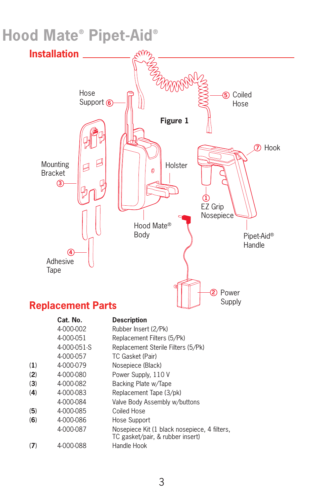# **Hood Mate® Pipet-Aid®**

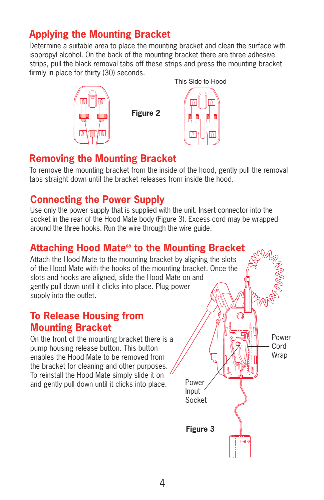# **Applying the Mounting Bracket**

Determine a suitable area to place the mounting bracket and clean the surface with isopropyl alcohol. On the back of the mounting bracket there are three adhesive strips, pull the black removal tabs off these strips and press the mounting bracket firmly in place for thirty (30) seconds.



## **Removing the Mounting Bracket**

To remove the mounting bracket from the inside of the hood, gently pull the removal tabs straight down until the bracket releases from inside the hood.

## **Connecting the Power Supply**

Use only the power supply that is supplied with the unit. Insert connector into the socket in the rear of the Hood Mate body (Figure 3). Excess cord may be wrapped around the three hooks. Run the wire through the wire guide.

# **Attaching Hood Mate® to the Mounting Bracket**

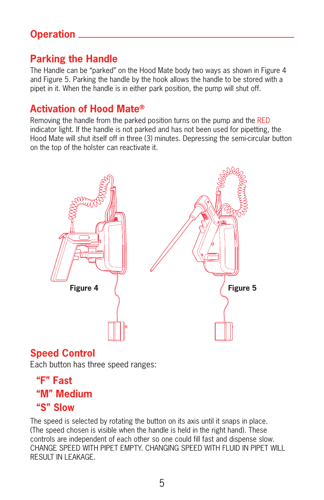# **Operation**

# **Parking the Handle**

The Handle can be "parked" on the Hood Mate body two ways as shown in Figure 4 and Figure 5. Parking the handle by the hook allows the handle to be stored with a pipet in it. When the handle is in either park position, the pump will shut off.

### **Activation of Hood Mate®**

Removing the handle from the parked position turns on the pump and the RED indicator light. If the handle is not parked and has not been used for pipetting, the Hood Mate will shut itself off in three (3) minutes. Depressing the semi-circular button on the top of the holster can reactivate it.



# **Speed Control**

Each button has three speed ranges:

# **"F" Fast "M" Medium "S" Slow**

The speed is selected by rotating the button on its axis until it snaps in place. (The speed chosen is visible when the handle is held in the right hand). These controls are independent of each other so one could fill fast and dispense slow. CHANGE SPEED WITH PIPET EMPTY. CHANGING SPEED WITH FLUID IN PIPET WILL RESULT IN LEAKAGE.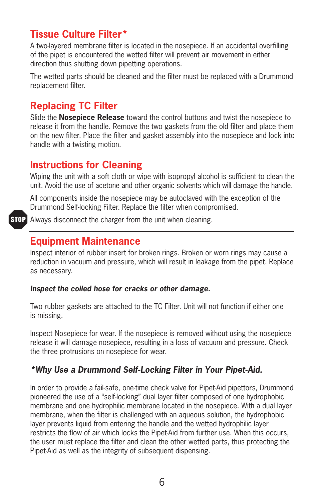## **Tissue Culture Filter\***

A two-layered membrane filter is located in the nosepiece. If an accidental overfilling of the pipet is encountered the wetted filter will prevent air movement in either direction thus shutting down pipetting operations.

The wetted parts should be cleaned and the filter must be replaced with a Drummond replacement filter.

# **Replacing TC Filter**

Slide the **Nosepiece Release** toward the control buttons and twist the nosepiece to release it from the handle. Remove the two gaskets from the old filter and place them on the new filter. Place the filter and gasket assembly into the nosepiece and lock into handle with a twisting motion.

### **Instructions for Cleaning**

Wiping the unit with a soft cloth or wipe with isopropyl alcohol is sufficient to clean the unit. Avoid the use of acetone and other organic solvents which will damage the handle.

All components inside the nosepiece may be autoclaved with the exception of the Drummond Self-locking Filter. Replace the filter when compromised.

**STOP** Always disconnect the charger from the unit when cleaning.

### **Equipment Maintenance**

Inspect interior of rubber insert for broken rings. Broken or worn rings may cause a reduction in vacuum and pressure, which will result in leakage from the pipet. Replace as necessary.

#### *Inspect the coiled hose for cracks or other damage.*

Two rubber gaskets are attached to the TC Filter. Unit will not function if either one is missing.

Inspect Nosepiece for wear. If the nosepiece is removed without using the nosepiece release it will damage nosepiece, resulting in a loss of vacuum and pressure. Check the three protrusions on nosepiece for wear.

#### *\*Why Use a Drummond Self-Locking Filter in Your Pipet-Aid.*

In order to provide a fail-safe, one-time check valve for Pipet-Aid pipettors, Drummond pioneered the use of a "self-locking" dual layer filter composed of one hydrophobic membrane and one hydrophilic membrane located in the nosepiece. With a dual layer membrane, when the filter is challenged with an aqueous solution, the hydrophobic layer prevents liquid from entering the handle and the wetted hydrophilic layer restricts the flow of air which locks the Pipet-Aid from further use. When this occurs, the user must replace the filter and clean the other wetted parts, thus protecting the Pipet-Aid as well as the integrity of subsequent dispensing.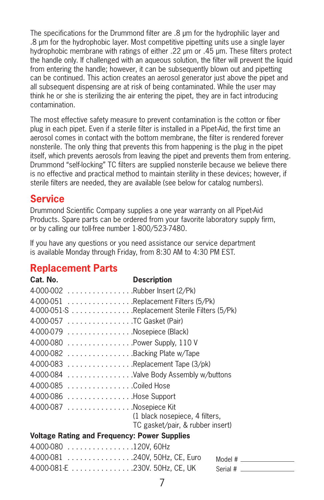The specifications for the Drummond filter are .8 µm for the hydrophilic layer and .8 µm for the hydrophobic layer. Most competitive pipetting units use a single layer hydrophobic membrane with ratings of either .22 µm or .45 µm. These filters protect the handle only. If challenged with an aqueous solution, the filter will prevent the liquid from entering the handle; however, it can be subsequently blown out and pipetting can be continued. This action creates an aerosol generator just above the pipet and all subsequent dispensing are at risk of being contaminated. While the user may think he or she is sterilizing the air entering the pipet, they are in fact introducing contamination.

The most effective safety measure to prevent contamination is the cotton or fiber plug in each pipet. Even if a sterile filter is installed in a Pipet-Aid, the first time an aerosol comes in contact with the bottom membrane, the filter is rendered forever nonsterile. The only thing that prevents this from happening is the plug in the pipet itself, which prevents aerosols from leaving the pipet and prevents them from entering. Drummond "self-locking" TC filters are supplied nonsterile because we believe there is no effective and practical method to maintain sterility in these devices; however, if sterile filters are needed, they are available (see below for catalog numbers).

# **Service**

Drummond Scientific Company supplies a one year warranty on all Pipet-Aid Products. Spare parts can be ordered from your favorite laboratory supply firm, or by calling our toll-free number 1-800/523-7480.

If you have any questions or you need assistance our service department is available Monday through Friday, from 8:30 AM to 4:30 PM EST.

# **Replacement Parts**

#### **Cat. No. Description** 4-000-002 . . . . . . . . . . . . . . . .Rubber Insert (2/Pk) 4-000-051 . . . . . . . . . . . . . . . .Replacement Filters (5/Pk) 4-000-051-S . . . . . . . . . . . . . . .Replacement Sterile Filters (5/Pk) 4-000-057 . . . . . . . . . . . . . . . .TC Gasket (Pair) 4-000-079 . . . . . . . . . . . . . . . .Nosepiece (Black) 4-000-080 . . . . . . . . . . . . . . . .Power Supply, 110 V 4-000-082 . . . . . . . . . . . . . . . .Backing Plate w/Tape 4-000-083 . . . . . . . . . . . . . . . .Replacement Tape (3/pk) 4-000-084 . . . . . . . . . . . . . . . .Valve Body Assembly w/buttons 4-000-085 . . . . . . . . . . . . . . . .Coiled Hose 4-000-086 . . . . . . . . . . . . . . . .Hose Support

4-000-087 . . . . . . . . . . . . . . . . Nosepiece Kit (1 black nosepiece, 4 filters, TC gasket/pair, & rubber insert)

#### **Voltage Rating and Frequency: Power Supplies**

| 4-000-080 120V, 60Hz |        |
|----------------------|--------|
|                      | Model# |
|                      |        |